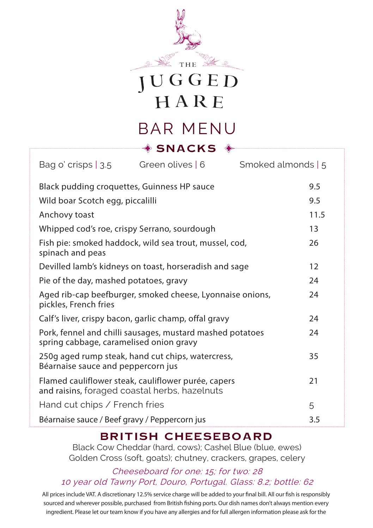

HARE

## BAR MENU **SNACKS**

| Bag o' crisps $ 3.5 $                                                      | Green olives   6                                          | Smoked almonds   5 |      |
|----------------------------------------------------------------------------|-----------------------------------------------------------|--------------------|------|
| Black pudding croquettes, Guinness HP sauce                                |                                                           |                    | 9.5  |
| Wild boar Scotch egg, piccalilli                                           |                                                           |                    | 9.5  |
| Anchovy toast                                                              |                                                           |                    | 11.5 |
| Whipped cod's roe, crispy Serrano, sourdough                               |                                                           |                    | 13   |
| Fish pie: smoked haddock, wild sea trout, mussel, cod,<br>spinach and peas |                                                           |                    | 26   |
|                                                                            | Devilled lamb's kidneys on toast, horseradish and sage    |                    | 12   |
| Pie of the day, mashed potatoes, gravy                                     |                                                           |                    | 24   |
| pickles, French fries                                                      | Aged rib-cap beefburger, smoked cheese, Lyonnaise onions, |                    | 24   |
| Calf's liver, crispy bacon, garlic champ, offal gravy                      |                                                           |                    | 24   |
| spring cabbage, caramelised onion gravy                                    | Pork, fennel and chilli sausages, mustard mashed potatoes |                    | 24   |
| Béarnaise sauce and peppercorn jus                                         | 250g aged rump steak, hand cut chips, watercress,         |                    | 35   |
| and raisins, foraged coastal herbs, hazelnuts                              | Flamed cauliflower steak, cauliflower purée, capers       |                    | 21   |
| Hand cut chips / French fries                                              |                                                           |                    | 5    |
| Béarnaise sauce / Beef gravy / Peppercorn jus                              |                                                           |                    | 3.5  |

### **BRITISH CHEESEBOARD**

Black Cow Cheddar (hard, cows); Cashel Blue (blue, ewes) Golden Cross (soft, goats); chutney, crackers, grapes, celery

### Cheeseboard for one: 15; for two: 28 10 year old Tawny Port, Douro, Portugal. Glass: 8.2; bottle: 62

All prices include VAT. A discretionary 12.5% service charge will be added to your final bill. All our fish is responsibly sourced and wherever possible, purchased from British fishing ports. Our dish names don't always mention every ingredient. Please let our team know if you have any allergies and for full allergen information please ask for the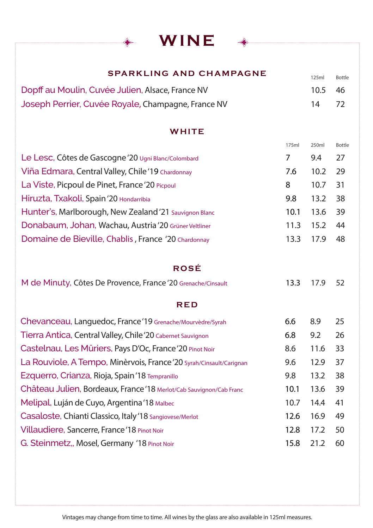WINE

### SPARKLING AND CHAMPAGNE

125ml Bottle

| Dopff au Moulin, Cuvée Julien, Alsace, France NV   | 10.5 46 |      |
|----------------------------------------------------|---------|------|
| Joseph Perrier, Cuvée Royale, Champagne, France NV | 14      | - 72 |

### **WHITE**

|                                                        | 175ml | 250 <sub>ml</sub> | Bottle |
|--------------------------------------------------------|-------|-------------------|--------|
| Le Lesc, Côtes de Gascogne '20 Ugni Blanc/Colombard    | 7     | 9.4               | 27     |
| Viña Edmara, Central Valley, Chile '19 Chardonnay      | 7.6   | 10.2              | - 29   |
| La Viste, Picpoul de Pinet, France '20 Picpoul         | 8     | 10.7              | - 31   |
| Hiruzta, Txakoli, Spain '20 Hondarribia                | 9.8   | 13.2              | - 38   |
| Hunter's, Marlborough, New Zealand '21 Sauvignon Blanc | 10.1  | 13.6 39           |        |
| Donabaum, Johan, Wachau, Austria '20 Grüner Veltliner  | 11.3  | 15.2              | - 44   |
| Domaine de Bieville, Chablis, France '20 Chardonnay    | 13.3  | 17.9              | 48     |

### ROSÉ

| M de Minuty, Côtes De Provence, France '20 Grenache/Cinsault |  | 13.3 17.9 52 |  |
|--------------------------------------------------------------|--|--------------|--|
|--------------------------------------------------------------|--|--------------|--|

### RED

| Chevanceau, Languedoc, France '19 Grenache/Mourvèdre/Syrah          | 6.6  | 8.9  | 25 |
|---------------------------------------------------------------------|------|------|----|
| Tierra Antica, Central Valley, Chile '20 Cabernet Sauvignon         | 6.8  | 9.2  | 26 |
| Castelnau, Les Mûriers, Pays D'Oc, France '20 Pinot Noir            | 8.6  | 11.6 | 33 |
| La Rouviole, A Tempo, Minèrvois, France '20 Syrah/Cinsault/Carignan | 9.6  | 12.9 | 37 |
| Ezquerro, Crianza, Rioja, Spain'18 Tempranillo                      | 9.8  | 13.2 | 38 |
| Château Julien, Bordeaux, France'18 Merlot/Cab Sauvignon/Cab Franc  | 10.1 | 13.6 | 39 |
| Melipal, Luján de Cuyo, Argentina '18 Malbec                        | 10.7 | 14.4 | 41 |
| Casaloste, Chianti Classico, Italy '18 Sangiovese/Merlot            | 12.6 | 16.9 | 49 |
| Villaudiere, Sancerre, France '18 Pinot Noir                        | 12.8 | 17.2 | 50 |
| G. Steinmetz,, Mosel, Germany '18 Pinot Noir                        | 15.8 | 21.2 | 60 |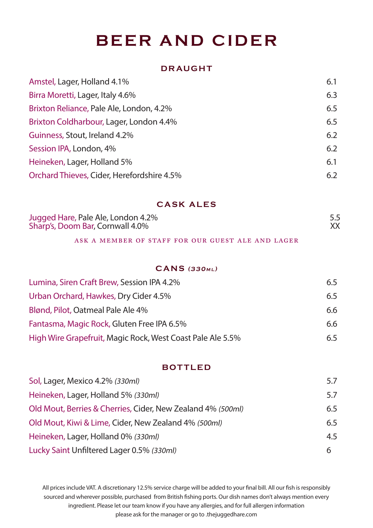# BEER AND CIDER

### DRAUGHT

| Amstel, Lager, Holland 4.1%                | 6.1 |
|--------------------------------------------|-----|
| Birra Moretti, Lager, Italy 4.6%           | 6.3 |
| Brixton Reliance, Pale Ale, London, 4.2%   | 6.5 |
| Brixton Coldharbour, Lager, London 4.4%    | 6.5 |
| Guinness, Stout, Ireland 4.2%              | 6.2 |
| Session IPA, London, 4%                    | 6.2 |
| Heineken, Lager, Holland 5%                | 6.1 |
| Orchard Thieves, Cider, Herefordshire 4.5% | 6.2 |
|                                            |     |

### CASK ALES

| Jugged Hare, Pale Ale, London 4.2% |  |
|------------------------------------|--|
| Sharp's, Doom Bar, Cornwall 4.0%   |  |

### ask a member of staff for our guest ale and lager

### $CANS$  (330 $ML$ )

| Lumina, Siren Craft Brew, Session IPA 4.2%                 | 6.5 |
|------------------------------------------------------------|-----|
| Urban Orchard, Hawkes, Dry Cider 4.5%                      | 6.5 |
| Blønd, Pilot, Oatmeal Pale Ale 4%                          | 6.6 |
| Fantasma, Magic Rock, Gluten Free IPA 6.5%                 | 6.6 |
| High Wire Grapefruit, Magic Rock, West Coast Pale Ale 5.5% | 6.5 |

### BOTTLED

| Sol, Lager, Mexico 4.2% (330ml)                             | 5.7 |
|-------------------------------------------------------------|-----|
| Heineken, Lager, Holland 5% (330ml)                         | 5.7 |
| Old Mout, Berries & Cherries, Cider, New Zealand 4% (500ml) | 6.5 |
| Old Mout, Kiwi & Lime, Cider, New Zealand 4% (500ml)        | 6.5 |
| Heineken, Lager, Holland 0% (330ml)                         | 4.5 |
| Lucky Saint Unfiltered Lager 0.5% (330ml)                   | 6   |

All prices include VAT. A discretionary 12.5% service charge will be added to your final bill. All our fish is responsibly sourced and wherever possible, purchased from British fishing ports. Our dish names don't always mention every ingredient. Please let our team know if you have any allergies, and for full allergen information please ask for the manager or go to .thejuggedhare.com